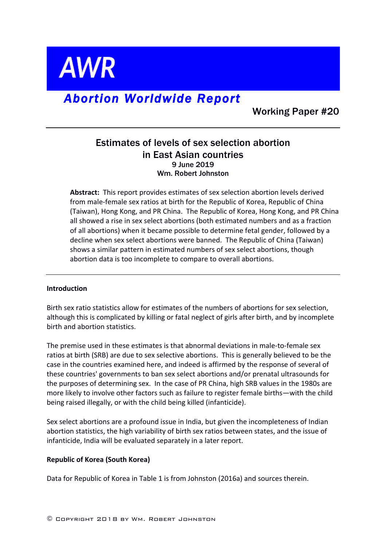**AWR** 

# *Abortion Worldwide Report*

Working Paper #20

# Estimates of levels of sex selection abortion in East Asian countries 9 June 2019 Wm. Robert Johnston

**Abstract:** This report provides estimates of sex selection abortion levels derived from male-female sex ratios at birth for the Republic of Korea, Republic of China (Taiwan), Hong Kong, and PR China. The Republic of Korea, Hong Kong, and PR China all showed a rise in sex select abortions (both estimated numbers and as a fraction of all abortions) when it became possible to determine fetal gender, followed by a decline when sex select abortions were banned. The Republic of China (Taiwan) shows a similar pattern in estimated numbers of sex select abortions, though abortion data is too incomplete to compare to overall abortions.

### **Introduction**

Birth sex ratio statistics allow for estimates of the numbers of abortions for sex selection, although this is complicated by killing or fatal neglect of girls after birth, and by incomplete birth and abortion statistics.

The premise used in these estimates is that abnormal deviations in male-to-female sex ratios at birth (SRB) are due to sex selective abortions. This is generally believed to be the case in the countries examined here, and indeed is affirmed by the response of several of these countries' governments to ban sex select abortions and/or prenatal ultrasounds for the purposes of determining sex. In the case of PR China, high SRB values in the 1980s are more likely to involve other factors such as failure to register female births—with the child being raised illegally, or with the child being killed (infanticide).

Sex select abortions are a profound issue in India, but given the incompleteness of Indian abortion statistics, the high variability of birth sex ratios between states, and the issue of infanticide, India will be evaluated separately in a later report.

### **Republic of Korea (South Korea)**

Data for Republic of Korea in Table 1 is from Johnston (2016a) and sources therein.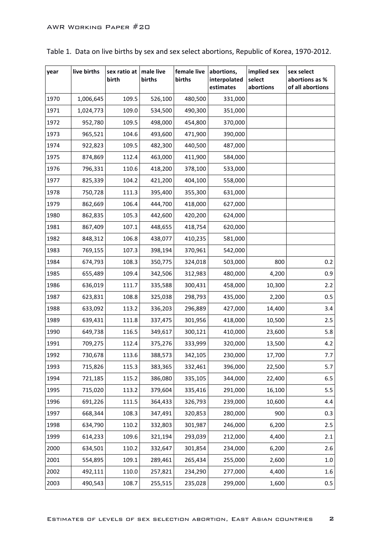| year | live births | sex ratio at<br>birth | male live<br>births | female live<br>births | abortions,<br>interpolated<br>estimates | implied sex<br>select<br>abortions | sex select<br>abortions as %<br>of all abortions |
|------|-------------|-----------------------|---------------------|-----------------------|-----------------------------------------|------------------------------------|--------------------------------------------------|
| 1970 | 1,006,645   | 109.5                 | 526,100             | 480,500               | 331,000                                 |                                    |                                                  |
| 1971 | 1,024,773   | 109.0                 | 534,500             | 490,300               | 351,000                                 |                                    |                                                  |
| 1972 | 952,780     | 109.5                 | 498,000             | 454,800               | 370,000                                 |                                    |                                                  |
| 1973 | 965,521     | 104.6                 | 493,600             | 471,900               | 390,000                                 |                                    |                                                  |
| 1974 | 922,823     | 109.5                 | 482,300             | 440,500               | 487,000                                 |                                    |                                                  |
| 1975 | 874,869     | 112.4                 | 463,000             | 411,900               | 584,000                                 |                                    |                                                  |
| 1976 | 796,331     | 110.6                 | 418,200             | 378,100               | 533,000                                 |                                    |                                                  |
| 1977 | 825,339     | 104.2                 | 421,200             | 404,100               | 558,000                                 |                                    |                                                  |
| 1978 | 750,728     | 111.3                 | 395,400             | 355,300               | 631,000                                 |                                    |                                                  |
| 1979 | 862,669     | 106.4                 | 444,700             | 418,000               | 627,000                                 |                                    |                                                  |
| 1980 | 862,835     | 105.3                 | 442,600             | 420,200               | 624,000                                 |                                    |                                                  |
| 1981 | 867,409     | 107.1                 | 448,655             | 418,754               | 620,000                                 |                                    |                                                  |
| 1982 | 848,312     | 106.8                 | 438,077             | 410,235               | 581,000                                 |                                    |                                                  |
| 1983 | 769,155     | 107.3                 | 398,194             | 370,961               | 542,000                                 |                                    |                                                  |
| 1984 | 674,793     | 108.3                 | 350,775             | 324,018               | 503,000                                 | 800                                | 0.2                                              |
| 1985 | 655,489     | 109.4                 | 342,506             | 312,983               | 480,000                                 | 4,200                              | 0.9                                              |
| 1986 | 636,019     | 111.7                 | 335,588             | 300,431               | 458,000                                 | 10,300                             | 2.2                                              |
| 1987 | 623,831     | 108.8                 | 325,038             | 298,793               | 435,000                                 | 2,200                              | 0.5                                              |
| 1988 | 633,092     | 113.2                 | 336,203             | 296,889               | 427,000                                 | 14,400                             | 3.4                                              |
| 1989 | 639,431     | 111.8                 | 337,475             | 301,956               | 418,000                                 | 10,500                             | 2.5                                              |
| 1990 | 649,738     | 116.5                 | 349,617             | 300,121               | 410,000                                 | 23,600                             | 5.8                                              |
| 1991 | 709,275     | 112.4                 | 375,276             | 333,999               | 320,000                                 | 13,500                             | 4.2                                              |
| 1992 | 730,678     | 113.6                 | 388,573             | 342,105               | 230,000                                 | 17,700                             | 7.7                                              |
| 1993 | 715,826     | 115.3                 | 383,365             | 332,461               | 396,000                                 | 22,500                             | 5.7                                              |
| 1994 | 721,185     | 115.2                 | 386,080             | 335,105               | 344,000                                 | 22,400                             | 6.5                                              |
| 1995 | 715,020     | 113.2                 | 379,604             | 335,416               | 291,000                                 | 16,100                             | 5.5                                              |
| 1996 | 691,226     | 111.5                 | 364,433             | 326,793               | 239,000                                 | 10,600                             | 4.4                                              |
| 1997 | 668,344     | 108.3                 | 347,491             | 320,853               | 280,000                                 | 900                                | 0.3                                              |
| 1998 | 634,790     | 110.2                 | 332,803             | 301,987               | 246,000                                 | 6,200                              | 2.5                                              |
| 1999 | 614,233     | 109.6                 | 321,194             | 293,039               | 212,000                                 | 4,400                              | 2.1                                              |
| 2000 | 634,501     | 110.2                 | 332,647             | 301,854               | 234,000                                 | 6,200                              | 2.6                                              |
| 2001 | 554,895     | 109.1                 | 289,461             | 265,434               | 255,000                                 | 2,600                              | $1.0\,$                                          |
| 2002 | 492,111     | 110.0                 | 257,821             | 234,290               | 277,000                                 | 4,400                              | 1.6                                              |
| 2003 | 490,543     | 108.7                 | 255,515             | 235,028               | 299,000                                 | 1,600                              | $0.5\,$                                          |

Table 1. Data on live births by sex and sex select abortions, Republic of Korea, 1970-2012.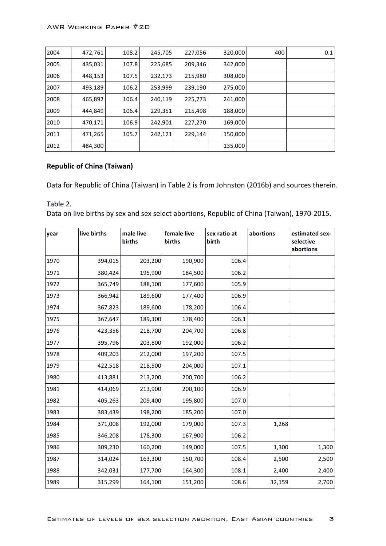| 2004 | 472,761 | 108.2 | 245,705 | 227,056 | 320,000 | 400 | 0.1 |
|------|---------|-------|---------|---------|---------|-----|-----|
| 2005 | 435,031 | 107.8 | 225,685 | 209,346 | 342,000 |     |     |
| 2006 | 448,153 | 107.5 | 232,173 | 215,980 | 308,000 |     |     |
| 2007 | 493,189 | 106.2 | 253,999 | 239,190 | 275,000 |     |     |
| 2008 | 465,892 | 106.4 | 240,119 | 225,773 | 241,000 |     |     |
| 2009 | 444.849 | 106.4 | 229,351 | 215,498 | 188,000 |     |     |
| 2010 | 470,171 | 106.9 | 242,901 | 227,270 | 169,000 |     |     |
| 2011 | 471,265 | 105.7 | 242,121 | 229,144 | 150,000 |     |     |
| 2012 | 484,300 |       |         |         | 135,000 |     |     |

### **Republic of China (Taiwan)**

Data for Republic of China (Taiwan) in Table 2 is from Johnston (2016b) and sources therein.

Table 2. Data on live births by sex and sex select abortions, Republic of China (Taiwan), 1970-2015.

| year | live births | male live<br>births | female live<br>births | sex ratio at<br>birth | abortions | estimated sex-<br>selective<br>abortions |
|------|-------------|---------------------|-----------------------|-----------------------|-----------|------------------------------------------|
| 1970 | 394,015     | 203,200             | 190,900               | 106.4                 |           |                                          |
| 1971 | 380,424     | 195,900             | 184,500               | 106.2                 |           |                                          |
| 1972 | 365,749     | 188,100             | 177,600               | 105.9                 |           |                                          |
| 1973 | 366,942     | 189,600             | 177,400               | 106.9                 |           |                                          |
| 1974 | 367,823     | 189,600             | 178,200               | 106.4                 |           |                                          |
| 1975 | 367,647     | 189,300             | 178,400               | 106.1                 |           |                                          |
| 1976 | 423,356     | 218,700             | 204,700               | 106.8                 |           |                                          |
| 1977 | 395,796     | 203,800             | 192,000               | 106.2                 |           |                                          |
| 1978 | 409,203     | 212,000             | 197,200               | 107.5                 |           |                                          |
| 1979 | 422,518     | 218,500             | 204,000               | 107.1                 |           |                                          |
| 1980 | 413,881     | 213,200             | 200,700               | 106.2                 |           |                                          |
| 1981 | 414,069     | 213,900             | 200,100               | 106.9                 |           |                                          |
| 1982 | 405,263     | 209,400             | 195,800               | 107.0                 |           |                                          |
| 1983 | 383,439     | 198,200             | 185,200               | 107.0                 |           |                                          |
| 1984 | 371,008     | 192,000             | 179,000               | 107.3                 | 1,268     |                                          |
| 1985 | 346,208     | 178,300             | 167,900               | 106.2                 |           |                                          |
| 1986 | 309,230     | 160,200             | 149,000               | 107.5                 | 1,300     | 1,300                                    |
| 1987 | 314,024     | 163,300             | 150,700               | 108.4                 | 2,500     | 2,500                                    |
| 1988 | 342,031     | 177,700             | 164,300               | 108.1                 | 2,400     | 2,400                                    |
| 1989 | 315,299     | 164,100             | 151,200               | 108.6                 | 32,159    | 2,700                                    |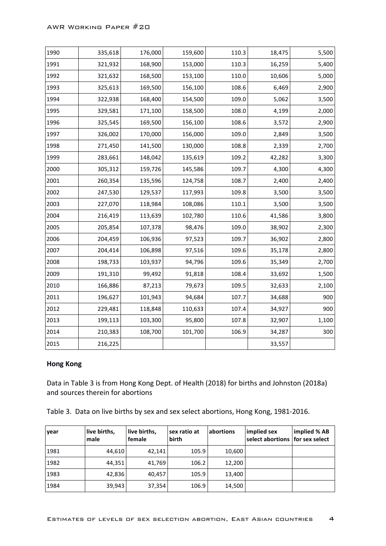| 1990 | 335,618 | 176,000 | 159,600 | 110.3 | 18,475 | 5,500 |
|------|---------|---------|---------|-------|--------|-------|
| 1991 | 321,932 | 168,900 | 153,000 | 110.3 | 16,259 | 5,400 |
| 1992 | 321,632 | 168,500 | 153,100 | 110.0 | 10,606 | 5,000 |
| 1993 | 325,613 | 169,500 | 156,100 | 108.6 | 6,469  | 2,900 |
| 1994 | 322,938 | 168,400 | 154,500 | 109.0 | 5,062  | 3,500 |
| 1995 | 329,581 | 171,100 | 158,500 | 108.0 | 4,199  | 2,000 |
| 1996 | 325,545 | 169,500 | 156,100 | 108.6 | 3,572  | 2,900 |
| 1997 | 326,002 | 170,000 | 156,000 | 109.0 | 2,849  | 3,500 |
| 1998 | 271,450 | 141,500 | 130,000 | 108.8 | 2,339  | 2,700 |
| 1999 | 283,661 | 148,042 | 135,619 | 109.2 | 42,282 | 3,300 |
| 2000 | 305,312 | 159,726 | 145,586 | 109.7 | 4,300  | 4,300 |
| 2001 | 260,354 | 135,596 | 124,758 | 108.7 | 2,400  | 2,400 |
| 2002 | 247,530 | 129,537 | 117,993 | 109.8 | 3,500  | 3,500 |
| 2003 | 227,070 | 118,984 | 108,086 | 110.1 | 3,500  | 3,500 |
| 2004 | 216,419 | 113,639 | 102,780 | 110.6 | 41,586 | 3,800 |
| 2005 | 205,854 | 107,378 | 98,476  | 109.0 | 38,902 | 2,300 |
| 2006 | 204,459 | 106,936 | 97,523  | 109.7 | 36,902 | 2,800 |
| 2007 | 204,414 | 106,898 | 97,516  | 109.6 | 35,178 | 2,800 |
| 2008 | 198,733 | 103,937 | 94,796  | 109.6 | 35,349 | 2,700 |
| 2009 | 191,310 | 99,492  | 91,818  | 108.4 | 33,692 | 1,500 |
| 2010 | 166,886 | 87,213  | 79,673  | 109.5 | 32,633 | 2,100 |
| 2011 | 196,627 | 101,943 | 94,684  | 107.7 | 34,688 | 900   |
| 2012 | 229,481 | 118,848 | 110,633 | 107.4 | 34,927 | 900   |
| 2013 | 199,113 | 103,300 | 95,800  | 107.8 | 32,907 | 1,100 |
| 2014 | 210,383 | 108,700 | 101,700 | 106.9 | 34,287 | 300   |
| 2015 | 216,225 |         |         |       | 33,557 |       |

#### **Hong Kong**

Data in Table 3 is from Hong Kong Dept. of Health (2018) for births and Johnston (2018a) and sources therein for abortions

Table 3. Data on live births by sex and sex select abortions, Hong Kong, 1981-2016.

| year | live births,<br>male | live births,<br>female | sex ratio at<br>birth | abortions | implied sex<br>select abortions   for sex select | implied % AB |
|------|----------------------|------------------------|-----------------------|-----------|--------------------------------------------------|--------------|
| 1981 | 44,610               | 42.141                 | 105.9                 | 10,600    |                                                  |              |
| 1982 | 44,351               | 41,769                 | 106.2                 | 12,200    |                                                  |              |
| 1983 | 42,836               | 40,457                 | 105.9                 | 13,400    |                                                  |              |
| 1984 | 39,943               | 37,354                 | 106.9                 | 14,500    |                                                  |              |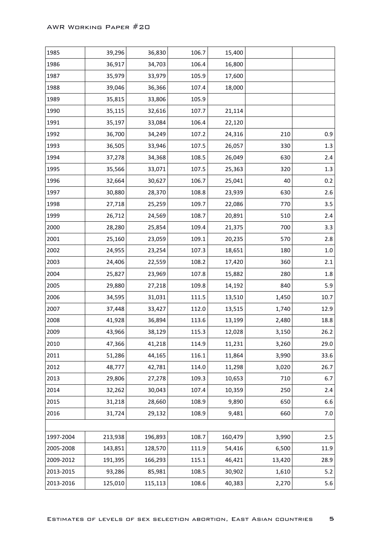| 1985      | 39,296  | 36,830  | 106.7 | 15,400  |        |         |
|-----------|---------|---------|-------|---------|--------|---------|
| 1986      | 36,917  | 34,703  | 106.4 | 16,800  |        |         |
| 1987      | 35,979  | 33,979  | 105.9 | 17,600  |        |         |
| 1988      | 39,046  | 36,366  | 107.4 | 18,000  |        |         |
| 1989      | 35,815  | 33,806  | 105.9 |         |        |         |
| 1990      | 35,115  | 32,616  | 107.7 | 21,114  |        |         |
| 1991      | 35,197  | 33,084  | 106.4 | 22,120  |        |         |
| 1992      | 36,700  | 34,249  | 107.2 | 24,316  | 210    | 0.9     |
| 1993      | 36,505  | 33,946  | 107.5 | 26,057  | 330    | 1.3     |
| 1994      | 37,278  | 34,368  | 108.5 | 26,049  | 630    | 2.4     |
| 1995      | 35,566  | 33,071  | 107.5 | 25,363  | 320    | 1.3     |
| 1996      | 32,664  | 30,627  | 106.7 | 25,041  | 40     | 0.2     |
| 1997      | 30,880  | 28,370  | 108.8 | 23,939  | 630    | 2.6     |
| 1998      | 27,718  | 25,259  | 109.7 | 22,086  | 770    | 3.5     |
| 1999      | 26,712  | 24,569  | 108.7 | 20,891  | 510    | 2.4     |
| 2000      | 28,280  | 25,854  | 109.4 | 21,375  | 700    | 3.3     |
| 2001      | 25,160  | 23,059  | 109.1 | 20,235  | 570    | 2.8     |
| 2002      | 24,955  | 23,254  | 107.3 | 18,651  | 180    | $1.0\,$ |
| 2003      | 24,406  | 22,559  | 108.2 | 17,420  | 360    | 2.1     |
| 2004      | 25,827  | 23,969  | 107.8 | 15,882  | 280    | 1.8     |
| 2005      | 29,880  | 27,218  | 109.8 | 14,192  | 840    | 5.9     |
| 2006      | 34,595  | 31,031  | 111.5 | 13,510  | 1,450  | 10.7    |
| 2007      | 37,448  | 33,427  | 112.0 | 13,515  | 1,740  | 12.9    |
| 2008      | 41,928  | 36,894  | 113.6 | 13,199  | 2,480  | 18.8    |
| 2009      | 43,966  | 38,129  | 115.3 | 12,028  | 3,150  | 26.2    |
| 2010      | 47,366  | 41,218  | 114.9 | 11,231  | 3,260  | 29.0    |
| 2011      | 51,286  | 44,165  | 116.1 | 11,864  | 3,990  | 33.6    |
| 2012      | 48,777  | 42,781  | 114.0 | 11,298  | 3,020  | 26.7    |
| 2013      | 29,806  | 27,278  | 109.3 | 10,653  | 710    | 6.7     |
| 2014      | 32,262  | 30,043  | 107.4 | 10,359  | 250    | 2.4     |
| 2015      | 31,218  | 28,660  | 108.9 | 9,890   | 650    | 6.6     |
| 2016      | 31,724  | 29,132  | 108.9 | 9,481   | 660    | 7.0     |
|           |         |         |       |         |        |         |
| 1997-2004 | 213,938 | 196,893 | 108.7 | 160,479 | 3,990  | 2.5     |
| 2005-2008 | 143,851 | 128,570 | 111.9 | 54,416  | 6,500  | 11.9    |
| 2009-2012 | 191,395 | 166,293 | 115.1 | 46,421  | 13,420 | 28.9    |
| 2013-2015 | 93,286  | 85,981  | 108.5 | 30,902  | 1,610  | 5.2     |
| 2013-2016 | 125,010 | 115,113 | 108.6 | 40,383  | 2,270  | 5.6     |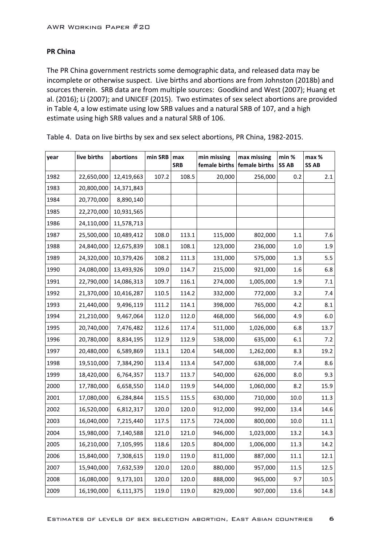## **PR China**

The PR China government restricts some demographic data, and released data may be incomplete or otherwise suspect. Live births and abortions are from Johnston (2018b) and sources therein. SRB data are from multiple sources: Goodkind and West (2007); Huang et al. (2016); Li (2007); and UNICEF (2015). Two estimates of sex select abortions are provided in Table 4, a low estimate using low SRB values and a natural SRB of 107, and a high estimate using high SRB values and a natural SRB of 106.

| year | live births | abortions  | min SRB | max<br><b>SRB</b> | min missing<br>female births | max missing<br>female births | min %<br><b>SS AB</b> | max %<br><b>SS AB</b> |
|------|-------------|------------|---------|-------------------|------------------------------|------------------------------|-----------------------|-----------------------|
| 1982 | 22,650,000  | 12,419,663 | 107.2   | 108.5             | 20,000                       | 256,000                      | 0.2                   | 2.1                   |
| 1983 | 20,800,000  | 14,371,843 |         |                   |                              |                              |                       |                       |
| 1984 | 20,770,000  | 8,890,140  |         |                   |                              |                              |                       |                       |
| 1985 | 22,270,000  | 10,931,565 |         |                   |                              |                              |                       |                       |
| 1986 | 24,110,000  | 11,578,713 |         |                   |                              |                              |                       |                       |
| 1987 | 25,500,000  | 10,489,412 | 108.0   | 113.1             | 115,000                      | 802,000                      | 1.1                   | 7.6                   |
| 1988 | 24,840,000  | 12,675,839 | 108.1   | 108.1             | 123,000                      | 236,000                      | 1.0                   | 1.9                   |
| 1989 | 24,320,000  | 10,379,426 | 108.2   | 111.3             | 131,000                      | 575,000                      | 1.3                   | 5.5                   |
| 1990 | 24,080,000  | 13,493,926 | 109.0   | 114.7             | 215,000                      | 921,000                      | 1.6                   | 6.8                   |
| 1991 | 22,790,000  | 14,086,313 | 109.7   | 116.1             | 274,000                      | 1,005,000                    | 1.9                   | 7.1                   |
| 1992 | 21,370,000  | 10,416,287 | 110.5   | 114.2             | 332,000                      | 772,000                      | 3.2                   | 7.4                   |
| 1993 | 21,440,000  | 9,496,119  | 111.2   | 114.1             | 398,000                      | 765,000                      | 4.2                   | 8.1                   |
| 1994 | 21,210,000  | 9,467,064  | 112.0   | 112.0             | 468,000                      | 566,000                      | 4.9                   | 6.0                   |
| 1995 | 20,740,000  | 7,476,482  | 112.6   | 117.4             | 511,000                      | 1,026,000                    | 6.8                   | 13.7                  |
| 1996 | 20,780,000  | 8,834,195  | 112.9   | 112.9             | 538,000                      | 635,000                      | 6.1                   | 7.2                   |
| 1997 | 20,480,000  | 6,589,869  | 113.1   | 120.4             | 548,000                      | 1,262,000                    | 8.3                   | 19.2                  |
| 1998 | 19,510,000  | 7,384,290  | 113.4   | 113.4             | 547,000                      | 638,000                      | 7.4                   | 8.6                   |
| 1999 | 18,420,000  | 6,764,357  | 113.7   | 113.7             | 540,000                      | 626,000                      | 8.0                   | 9.3                   |
| 2000 | 17,780,000  | 6,658,550  | 114.0   | 119.9             | 544,000                      | 1,060,000                    | 8.2                   | 15.9                  |
| 2001 | 17,080,000  | 6,284,844  | 115.5   | 115.5             | 630,000                      | 710,000                      | 10.0                  | 11.3                  |
| 2002 | 16,520,000  | 6,812,317  | 120.0   | 120.0             | 912,000                      | 992,000                      | 13.4                  | 14.6                  |
| 2003 | 16,040,000  | 7,215,440  | 117.5   | 117.5             | 724,000                      | 800,000                      | 10.0                  | 11.1                  |
| 2004 | 15,980,000  | 7,140,588  | 121.0   | 121.0             | 946,000                      | 1,023,000                    | 13.2                  | 14.3                  |
| 2005 | 16,210,000  | 7,105,995  | 118.6   | 120.5             | 804,000                      | 1,006,000                    | 11.3                  | 14.2                  |
| 2006 | 15,840,000  | 7,308,615  | 119.0   | 119.0             | 811,000                      | 887,000                      | 11.1                  | 12.1                  |
| 2007 | 15,940,000  | 7,632,539  | 120.0   | 120.0             | 880,000                      | 957,000                      | 11.5                  | 12.5                  |
| 2008 | 16,080,000  | 9,173,101  | 120.0   | 120.0             | 888,000                      | 965,000                      | 9.7                   | 10.5                  |
| 2009 | 16,190,000  | 6,111,375  | 119.0   | 119.0             | 829,000                      | 907,000                      | 13.6                  | 14.8                  |

Table 4. Data on live births by sex and sex select abortions, PR China, 1982-2015.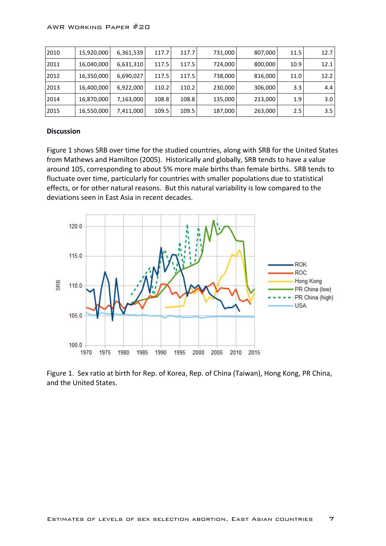| 2010 | 15,920,000 | 6,361,539 | 117.7 | 117.7 | 731,000 | 807,000 | 11.5    | 12.7             |
|------|------------|-----------|-------|-------|---------|---------|---------|------------------|
| 2011 | 16,040,000 | 6,631,310 | 117.5 | 117.5 | 724,000 | 800,000 | 10.9    | 12.1             |
| 2012 | 16,350,000 | 6,690,027 | 117.5 | 117.5 | 738,000 | 816,000 | 11.0    | 12.2             |
| 2013 | 16,400,000 | 6,922,000 | 110.2 | 110.2 | 230,000 | 306,000 | 3.3     | 4.4              |
| 2014 | 16,870,000 | 7,163,000 | 108.8 | 108.8 | 135,000 | 213,000 | 1.9     | 3.0 <sub>1</sub> |
| 2015 | 16,550,000 | 7,411,000 | 109.5 | 109.5 | 187,000 | 263,000 | $2.5\,$ | 3.5              |

#### **Discussion**

Figure 1 shows SRB over time for the studied countries, along with SRB for the United States from Mathews and Hamilton (2005). Historically and globally, SRB tends to have a value around 105, corresponding to about 5% more male births than female births. SRB tends to fluctuate over time, particularly for countries with smaller populations due to statistical effects, or for other natural reasons. But this natural variability is low compared to the deviations seen in East Asia in recent decades.



Figure 1. Sex ratio at birth for Rep. of Korea, Rep. of China (Taiwan), Hong Kong, PR China, and the United States.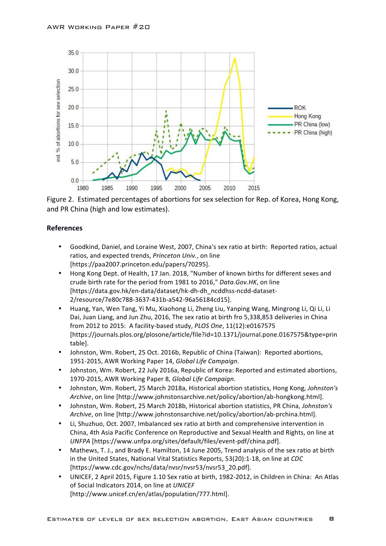

Figure 2. Estimated percentages of abortions for sex selection for Rep. of Korea, Hong Kong, and PR China (high and low estimates).

### **References**

- Goodkind, Daniel, and Loraine West, 2007, China's sex ratio at birth: Reported ratios, actual ratios, and expected trends, Princeton Univ., on line [https://paa2007.princeton.edu/papers/70295].
- Hong Kong Dept. of Health, 17 Jan. 2018, "Number of known births for different sexes and crude birth rate for the period from 1981 to 2016," Data.Gov.HK, on line [https://data.gov.hk/en-data/dataset/hk-dh-dh\_ncddhss-ncdd-dataset-2/resource/7e80c788-3637-431b-a542-96a56184cd15].
- Huang, Yan, Wen Tang, Yi Mu, Xiaohong Li, Zheng Liu, Yanping Wang, Mingrong Li, Qi Li, Li Dai, Juan Liang, and Jun Zhu, 2016, The sex ratio at birth fro 5,338,853 deliveries in China from 2012 to 2015: A facility-based study, *PLOS One*, 11(12):e0167575 [https://journals.plos.org/plosone/article/file?id=10.1371/journal.pone.0167575&type=prin table].
- Johnston, Wm. Robert, 25 Oct. 2016b, Republic of China (Taiwan): Reported abortions, 1951-2015, AWR Working Paper 14, *Global Life Campaign*.
- Johnston, Wm. Robert, 22 July 2016a, Republic of Korea: Reported and estimated abortions, 1970-2015, AWR Working Paper 8, Global Life Campaign.
- Johnston, Wm. Robert, 25 March 2018a, Historical abortion statistics, Hong Kong, *Johnston's Archive*, on line [http://www.johnstonsarchive.net/policy/abortion/ab-hongkong.html].
- Johnston, Wm. Robert, 25 March 2018b, Historical abortion statistics, PR China, *Johnston's Archive*, on line [http://www.johnstonsarchive.net/policy/abortion/ab-prchina.html].
- Li, Shuzhuo, Oct. 2007, Imbalanced sex ratio at birth and comprehensive intervention in China, 4th Asia Pacific Conference on Reproductive and Sexual Health and Rights, on line at *UNFPA* [https://www.unfpa.org/sites/default/files/event-pdf/china.pdf].
- Mathews, T. J., and Brady E. Hamilton, 14 June 2005, Trend analysis of the sex ratio at birth in the United States, National Vital Statistics Reports, 53(20):1-18, on line at *CDC* [https://www.cdc.gov/nchs/data/nvsr/nvsr53/nvsr53\_20.pdf].
- UNICEF, 2 April 2015, Figure 1.10 Sex ratio at birth, 1982-2012, in Children in China: An Atlas of Social Indicators 2014, on line at *UNICEF* [http://www.unicef.cn/en/atlas/population/777.html].